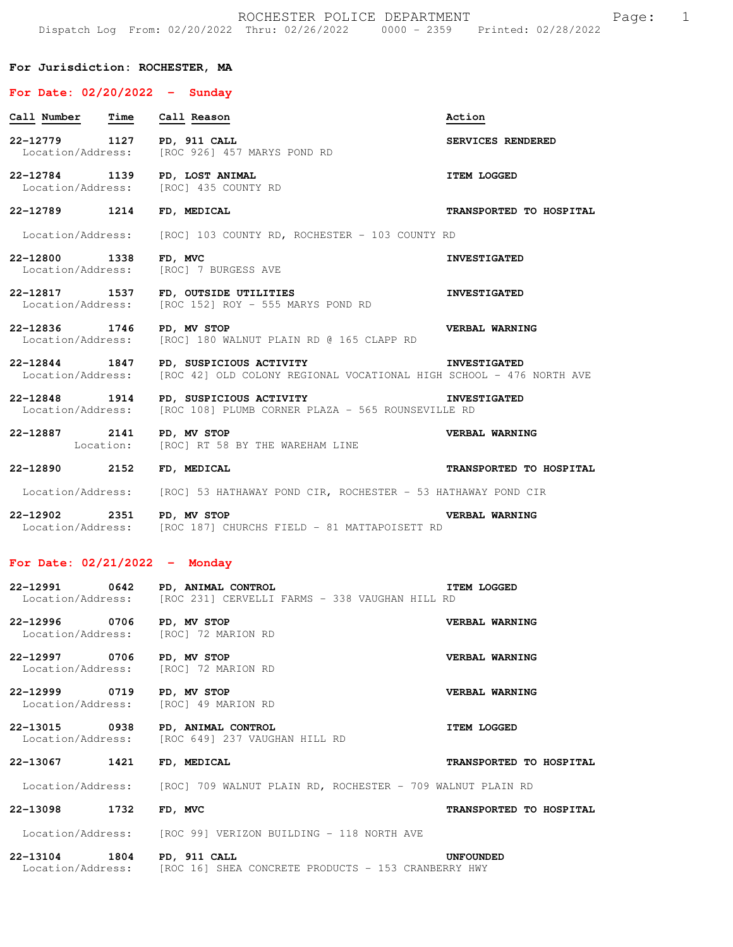### **For Jurisdiction: ROCHESTER, MA**

# **For Date: 02/20/2022 - Sunday Call Number Time Call Reason Action 22-12779 1127 PD, 911 CALL SERVICES RENDERED**  Location/Address: [ROC 926] 457 MARYS POND RD **22-12784 1139 PD, LOST ANIMAL 128 ITEM LOGGED** Location/Address: [ROC] 435 COUNTY RD Location/Address: **22-12789 1214 FD, MEDICAL TRANSPORTED TO HOSPITAL**  Location/Address: [ROC] 103 COUNTY RD, ROCHESTER - 103 COUNTY RD **22-12800 1338 FD, MVC** Location/Address: [ROC] 7 BURGESS AVE **INVESTIGATED** [ROC] 7 BURGESS AVE

**22-12817 1537 FD, OUTSIDE UTILITIES INVESTIGATED**  Location/Address: [ROC 152] ROY - 555 MARYS POND RD

**22-12836 1746 PD, MV STOP VERBAL WARNING**  Location/Address: [ROC] 180 WALNUT PLAIN RD @ 165 CLAPP RD

**22-12844 1847 PD, SUSPICIOUS ACTIVITY INVESTIGATED**  Location/Address: [ROC 42] OLD COLONY REGIONAL VOCATIONAL HIGH SCHOOL - 476 NORTH AVE

**22-12848 1914 PD, SUSPICIOUS ACTIVITY INVESTIGATED**  Location/Address: [ROC 108] PLUMB CORNER PLAZA - 565 ROUNSEVILLE RD

**22-12887 2141 PD, MV STOP VERBAL WARNING**  Location: [ROC] RT 58 BY THE WAREHAM LINE

**22-12890 2152 FD, MEDICAL TRANSPORTED TO HOSPITAL** 

Location/Address: [ROC] 53 HATHAWAY POND CIR, ROCHESTER - 53 HATHAWAY POND CIR

**22-12902 2351 PD, MV STOP VERBAL WARNING**  Location/Address: [ROC 187] CHURCHS FIELD - 81 MATTAPOISETT RD

#### **For Date: 02/21/2022 - Monday**

|                            | 22-12991 0642 PD, ANIMAL CONTROL<br>Location/Address: [ROC 231] CERVELLI FARMS - 338 VAUGHAN HILL RD               | <b>ITEM LOGGED</b>      |
|----------------------------|--------------------------------------------------------------------------------------------------------------------|-------------------------|
| 22-12996 0706 PD, MV STOP  | Location/Address: [ROC] 72 MARION RD                                                                               | VERBAL WARNING          |
| 22-12997 0706 PD, MV STOP  | Location/Address: [ROC] 72 MARION RD                                                                               | VERBAL WARNING          |
| 22-12999 0719 PD, MV STOP  | Location/Address: [ROC] 49 MARION RD                                                                               | VERBAL WARNING          |
|                            | 22-13015 0938 PD, ANIMAL CONTROL<br><b>EXERCISE ITEM LOGGED</b><br>Location/Address: [ROC 649] 237 VAUGHAN HILL RD |                         |
| 22-13067 1421 FD, MEDICAL  |                                                                                                                    | TRANSPORTED TO HOSPITAL |
|                            | Location/Address: [ROC] 709 WALNUT PLAIN RD, ROCHESTER - 709 WALNUT PLAIN RD                                       |                         |
| 22-13098 1732              | FD, MVC                                                                                                            | TRANSPORTED TO HOSPITAL |
|                            | Location/Address: [ROC 99] VERIZON BUILDING - 118 NORTH AVE                                                        |                         |
| 22-13104 1804 PD, 911 CALL | Location/Address: [ROC 16] SHEA CONCRETE PRODUCTS - 153 CRANBERRY HWY                                              | <b>UNFOUNDED</b>        |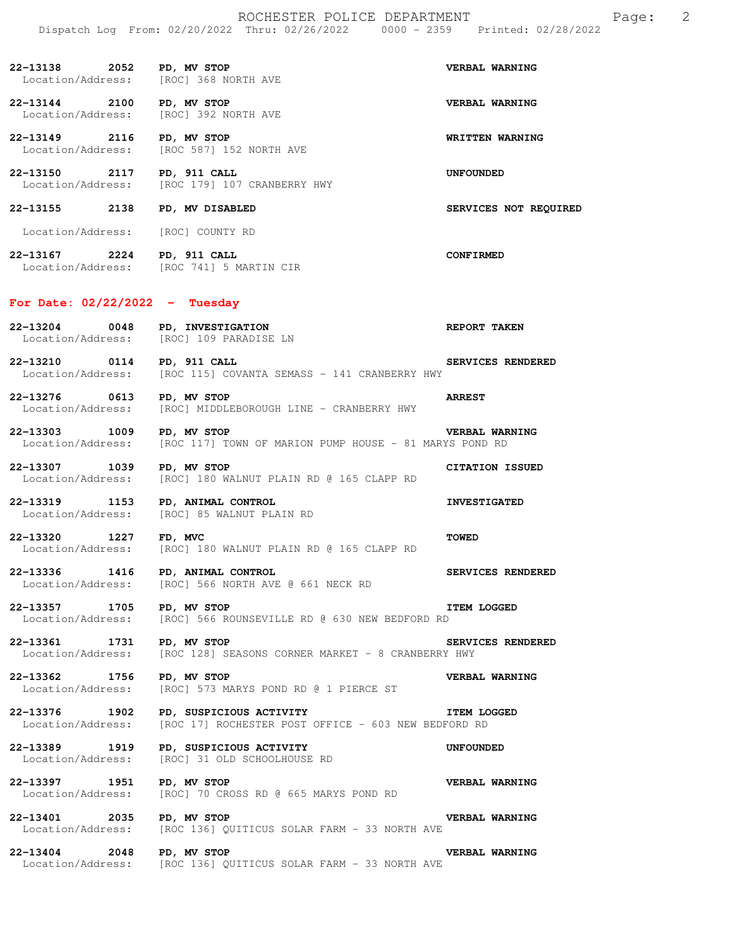| 22-13138 2052 PD, MV STOP<br>Location/Address: [ROC] 368 NORTH AVE |                                                                                     | VERBAL WARNING         |
|--------------------------------------------------------------------|-------------------------------------------------------------------------------------|------------------------|
| 22-13144 2100<br>Location/Address: [ROC] 392 NORTH AVE             | PD, MV STOP                                                                         | VERBAL WARNING         |
| 22-13149 2116                                                      | PD, MV STOP<br>Location/Address: [ROC 587] 152 NORTH AVE                            | WRITTEN WARNING        |
| 22-13150 2117 PD, 911 CALL                                         | Location/Address: [ROC 179] 107 CRANBERRY HWY                                       | <b>UNFOUNDED</b>       |
| 22-13155 2138 PD, MV DISABLED                                      |                                                                                     | SERVICES NOT REQUIRED  |
| Location/Address: [ROC] COUNTY RD                                  |                                                                                     |                        |
|                                                                    | 22-13167 2224 PD, 911 CALL<br>Location/Address: [ROC 741] 5 MARTIN CIR              | <b>CONFIRMED</b>       |
| For Date: $02/22/2022 - Tuesday$                                   |                                                                                     |                        |
| 22-13204 0048                                                      | PD, INVESTIGATION<br>Location/Address: [ROC] 109 PARADISE LN                        | <b>REPORT TAKEN</b>    |
| 22-13210 0114 PD, 911 CALL                                         | Location/Address: [ROC 115] COVANTA SEMASS - 141 CRANBERRY HWY                      | SERVICES RENDERED      |
| 22-13276 0613                                                      | PD, MV STOP<br>Location/Address: [ROC] MIDDLEBOROUGH LINE - CRANBERRY HWY           | <b>ARREST</b>          |
| 22-13303 1009<br>Location/Address:                                 | PD, MV STOP<br>[ROC 117] TOWN OF MARION PUMP HOUSE - 81 MARYS POND RD               | VERBAL WARNING         |
| 22-13307 1039<br>Location/Address:                                 | PD, MV STOP<br>[ROC] 180 WALNUT PLAIN RD @ 165 CLAPP RD                             | <b>CITATION ISSUED</b> |
| 22-13319 1153                                                      | PD, ANIMAL CONTROL<br>Location/Address: [ROC] 85 WALNUT PLAIN RD                    | <b>INVESTIGATED</b>    |
|                                                                    | 22-13320 1227 FD, MVC<br>Location/Address: [ROC] 180 WALNUT PLAIN RD @ 165 CLAPP RD | <b>TOWED</b>           |
| 22-13336 1416 PD, ANIMAL CONTROL                                   | Location/Address: [ROC] 566 NORTH AVE @ 661 NECK RD                                 | SERVICES RENDERED      |
| 22-13357 1705<br>Location/Address:                                 | PD, MV STOP<br>[ROC] 566 ROUNSEVILLE RD @ 630 NEW BEDFORD RD                        | <b>ITEM LOGGED</b>     |
| 22-13361 1731<br>Location/Address:                                 | PD, MV STOP<br>[ROC 128] SEASONS CORNER MARKET - 8 CRANBERRY HWY                    | SERVICES RENDERED      |
| 22-13362 1756<br>Location/Address:                                 | PD, MV STOP<br>[ROC] 573 MARYS POND RD @ 1 PIERCE ST                                | VERBAL WARNING         |
| 22-13376 1902<br>Location/Address:                                 | PD, SUSPICIOUS ACTIVITY<br>[ROC 17] ROCHESTER POST OFFICE - 603 NEW BEDFORD RD      | <b>ITEM LOGGED</b>     |
| 22-13389 1919<br>Location/Address:                                 | PD, SUSPICIOUS ACTIVITY<br>[ROC] 31 OLD SCHOOLHOUSE RD                              | <b>UNFOUNDED</b>       |
| 22-13397 1951<br>Location/Address:                                 | PD, MV STOP<br>[ROC] 70 CROSS RD @ 665 MARYS POND RD                                | VERBAL WARNING         |
| 22-13401 2035                                                      | PD, MV STOP<br>Location/Address: [ROC 136] QUITICUS SOLAR FARM - 33 NORTH AVE       | VERBAL WARNING         |

**22-13404 2048 PD, MV STOP VERBAL WARNING**  Location/Address: [ROC 136] QUITICUS SOLAR FARM - 33 NORTH AVE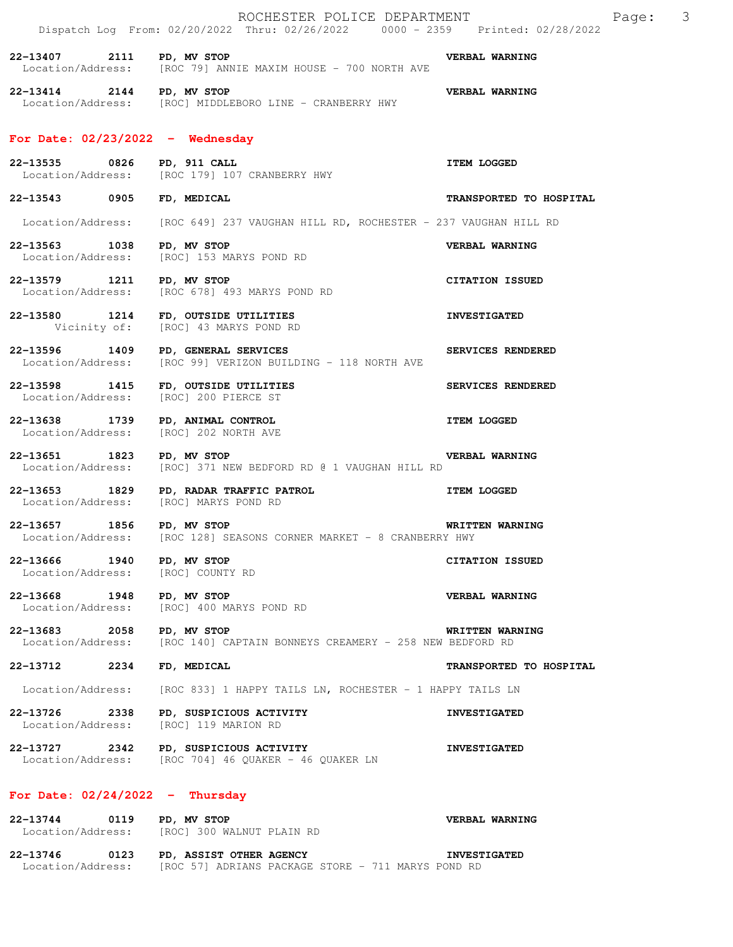|                                                | ROCHESTER POLICE DEPARTMENT<br>Dispatch Log From: 02/20/2022 Thru: 02/26/2022 0000 - 2359 Printed: 02/28/2022 |                         | Page: | $\overline{\mathbf{3}}$ |
|------------------------------------------------|---------------------------------------------------------------------------------------------------------------|-------------------------|-------|-------------------------|
| 22-13407 2111 PD, MV STOP                      | Location/Address: [ROC 79] ANNIE MAXIM HOUSE - 700 NORTH AVE                                                  | <b>VERBAL WARNING</b>   |       |                         |
| 22-13414 2144 PD, MV STOP                      | Location/Address: [ROC] MIDDLEBORO LINE - CRANBERRY HWY                                                       | VERBAL WARNING          |       |                         |
|                                                | For Date: $02/23/2022 -$ Wednesday                                                                            |                         |       |                         |
|                                                | 22-13535 0826 PD, 911 CALL<br>Location/Address: [ROC 179] 107 CRANBERRY HWY                                   | <b>ITEM LOGGED</b>      |       |                         |
| 22-13543 0905 FD, MEDICAL                      |                                                                                                               | TRANSPORTED TO HOSPITAL |       |                         |
|                                                | Location/Address: [ROC 649] 237 VAUGHAN HILL RD, ROCHESTER - 237 VAUGHAN HILL RD                              |                         |       |                         |
| 22-13563 1038 PD, MV STOP<br>Location/Address: | [ROC] 153 MARYS POND RD                                                                                       | VERBAL WARNING          |       |                         |
|                                                | zz-13579 1211 PD, MV STOP<br>Location/Address: [ROC 678] 493 MARYS POND RD                                    | <b>CITATION ISSUED</b>  |       |                         |
|                                                | 22-13580 1214 FD, OUTSIDE UTILITIES<br>Vicinity of: [ROC] 43 MARYS POND RD                                    | <b>INVESTIGATED</b>     |       |                         |
|                                                | 22-13596 1409 PD, GENERAL SERVICES<br>Location/Address: [ROC 99] VERIZON BUILDING - 118 NORTH AVE             | SERVICES RENDERED       |       |                         |
|                                                | 22-13598 1415 FD, OUTSIDE UTILITIES<br>Location/Address: [ROC] 200 PIERCE ST                                  | SERVICES RENDERED       |       |                         |
| Location/Address:                              | 22-13638 1739 PD, ANIMAL CONTROL<br>[ROC] 202 NORTH AVE                                                       | <b>ITEM LOGGED</b>      |       |                         |
| 22-13651 1823 PD, MV STOP                      | VERBAL WARNING<br>Location/Address: [ROC] 371 NEW BEDFORD RD @ 1 VAUGHAN HILL RD                              |                         |       |                         |
| Location/Address:                              | 22-13653 1829 PD, RADAR TRAFFIC PATROL<br>[ROC] MARYS POND RD                                                 | <b>ITEM LOGGED</b>      |       |                         |
| 22-13657 1856 PD, MV STOP                      | WRITTEN WARNING<br>Location/Address: [ROC 128] SEASONS CORNER MARKET - 8 CRANBERRY HWY                        |                         |       |                         |
| 22-13666 1940 PD, MV STOP                      | Location/Address: [ROC] COUNTY RD                                                                             | <b>CITATION ISSUED</b>  |       |                         |
| 22-13668 1948 PD, MV STOP<br>Location/Address: | [ROC] 400 MARYS POND RD                                                                                       | VERBAL WARNING          |       |                         |
| 22-13683 2058 PD, MV STOP                      | Location/Address: [ROC 140] CAPTAIN BONNEYS CREAMERY - 258 NEW BEDFORD RD                                     | WRITTEN WARNING         |       |                         |
| 22–13712 2234                                  | FD, MEDICAL                                                                                                   | TRANSPORTED TO HOSPITAL |       |                         |
| Location/Address:                              | [ROC 833] 1 HAPPY TAILS LN, ROCHESTER - 1 HAPPY TAILS LN                                                      |                         |       |                         |
| 22-13726 2338<br>Location/Address:             | PD, SUSPICIOUS ACTIVITY<br>[ROC] 119 MARION RD                                                                | <b>INVESTIGATED</b>     |       |                         |
|                                                | 22-13727 2342 PD, SUSPICIOUS ACTIVITY<br>Location/Address: [ROC 704] 46 QUAKER - 46 QUAKER LN                 | <b>INVESTIGATED</b>     |       |                         |
| For Date: $02/24/2022 -$ Thursday              |                                                                                                               |                         |       |                         |
| 22-13744 0119 PD, MV STOP                      | Location/Address: [ROC] 300 WALNUT PLAIN RD                                                                   | <b>VERBAL WARNING</b>   |       |                         |
|                                                | 22-13746 0123 PD, ASSIST OTHER AGENCY                                                                         | <b>INVESTIGATED</b>     |       |                         |

Location/Address: [ROC 57] ADRIANS PACKAGE STORE - 711 MARYS POND RD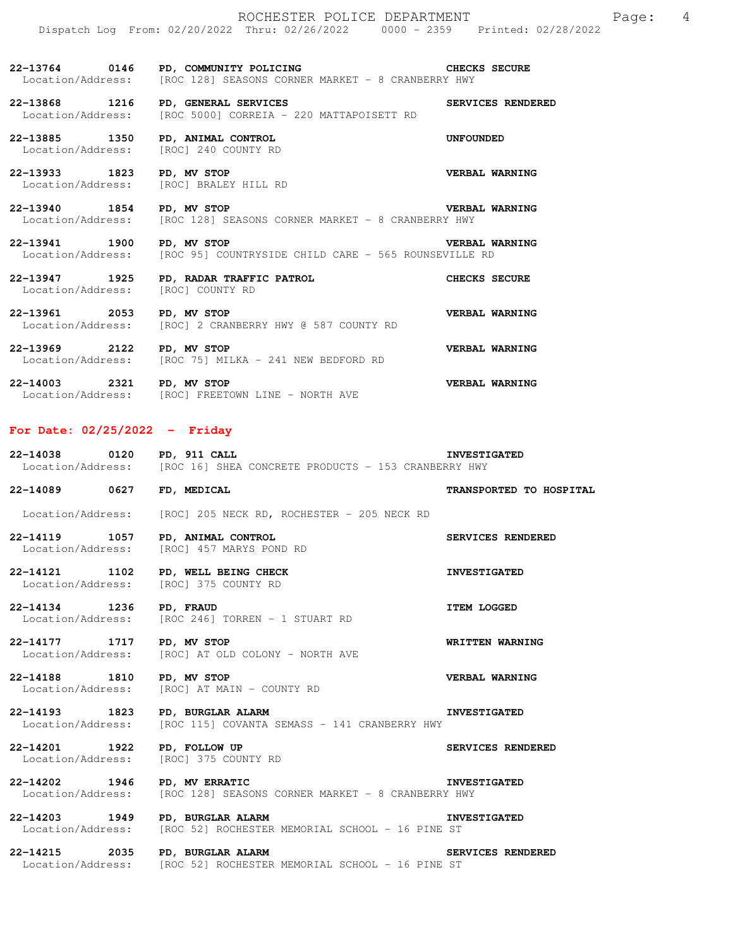**22-13764 0146 PD, COMMUNITY POLICING CHECKS SECURE**  Location/Address: [ROC 128] SEASONS CORNER MARKET - 8 CRANBERRY HWY

**22-13868 1216 PD, GENERAL SERVICES SERVICES RENDERED**  Location/Address: [ROC 5000] CORREIA - 220 MATTAPOISETT RD

**22-13885 1350 PD, ANIMAL CONTROL UNFOUNDED**  Location/Address: [ROC] 240 COUNTY RD

**22-13933 1823 PD, MV STOP VERBAL WARNING**  Location/Address: [ROC] BRALEY HILL RD

**22-13940 1854 PD, MV STOP VERBAL WARNING**  Location/Address: [ROC 128] SEASONS CORNER MARKET - 8 CRANBERRY HWY

**22-13941 1900 PD, MV STOP VERBAL WARNING**  Location/Address: [ROC 95] COUNTRYSIDE CHILD CARE - 565 ROUNSEVILLE RD

**22-13947 1925 PD, RADAR TRAFFIC PATROL CHECKS SECURE**  Location/Address: [ROC] COUNTY RD **22-13961 2053 PD, MV STOP VERBAL WARNING**  Location/Address: [ROC] 2 CRANBERRY HWY @ 587 COUNTY RD **22-13969 2122 PD, MV STOP VERBAL WARNING**  Location/Address: [ROC 75] MILKA - 241 NEW BEDFORD RD

**22-14003 2321 PD, MV STOP VERBAL WARNING**  Location/Address: [ROC] FREETOWN LINE - NORTH AVE

## **For Date: 02/25/2022 - Friday**

**22-14038 0120 PD, 911 CALL INVESTIGATED**  Location/Address: [ROC 16] SHEA CONCRETE PRODUCTS - 153 CRANBERRY HWY

**22-14089 0627 FD, MEDICAL TRANSPORTED TO HOSPITAL** 

Location/Address: [ROC] 205 NECK RD, ROCHESTER - 205 NECK RD

**22-14119 1057 PD, ANIMAL CONTROL SERVICES RENDERED**  Location/Address: [ROC] 457 MARYS POND RD

**22-14121 1102 PD, WELL BEING CHECK LOCATION INVESTIGATED**<br>
Location/Address: [ROC] 375 COUNTY RD [ROC] 375 COUNTY RD

**22-14134 1236 PD, FRAUD ITEM LOGGED**  Location/Address: [ROC 246] TORREN - 1 STUART RD

**22-14177 1717 PD, MV STOP WRITTEN WARNING**  Location/Address: [ROC] AT OLD COLONY - NORTH AVE

**22-14188 1810 PD, MV STOP VERBAL WARNING**  Location/Address: [ROC] AT MAIN - COUNTY RD

**22-14193 1823 PD, BURGLAR ALARM INVESTIGATED**  Location/Address: [ROC 115] COVANTA SEMASS - 141 CRANBERRY HWY

**22-14201 1922 PD, FOLLOW UP SERVICES RENDERED**  Location/Address: [ROC] 375 COUNTY RD

**22-14202 1946 PD, MV ERRATIC INVESTIGATED**  Location/Address: [ROC 128] SEASONS CORNER MARKET - 8 CRANBERRY HWY

**22-14203 1949 PD, BURGLAR ALARM INVESTIGATED**<br>Location/Address: [ROC 52] ROCHESTER MEMORIAL SCHOOL - 16 PINE ST [ROC 52] ROCHESTER MEMORIAL SCHOOL - 16 PINE ST

22-14215 2035 PD, BURGLAR ALARM **SERVICES RENDERED**<br>Location/Address: [ROC 52] ROCHESTER MEMORIAL SCHOOL - 16 PINE ST [ROC 52] ROCHESTER MEMORIAL SCHOOL - 16 PINE ST